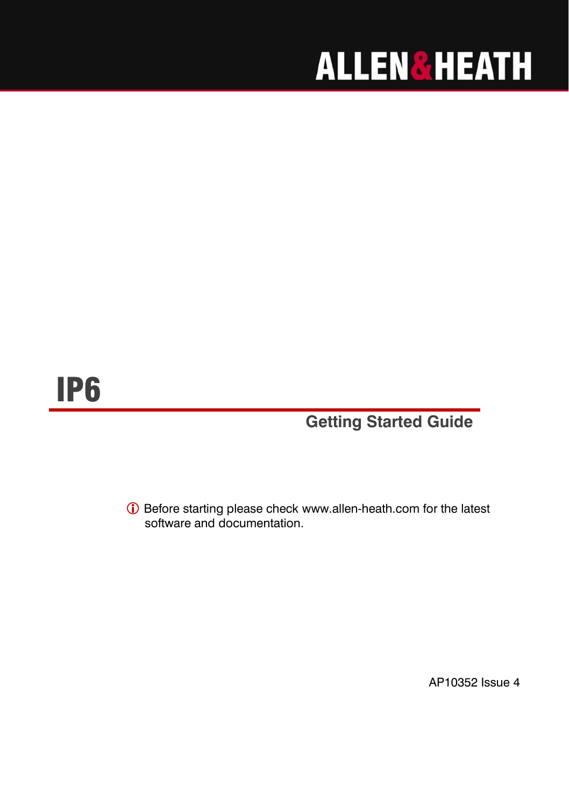# **ALLEN&HEATH**

## IP6

**Getting Started Guide**

 Before starting please check [www.allen-heath.com](http://www.allen-heath.com/) for the latest software and documentation.

AP10352 Issue 4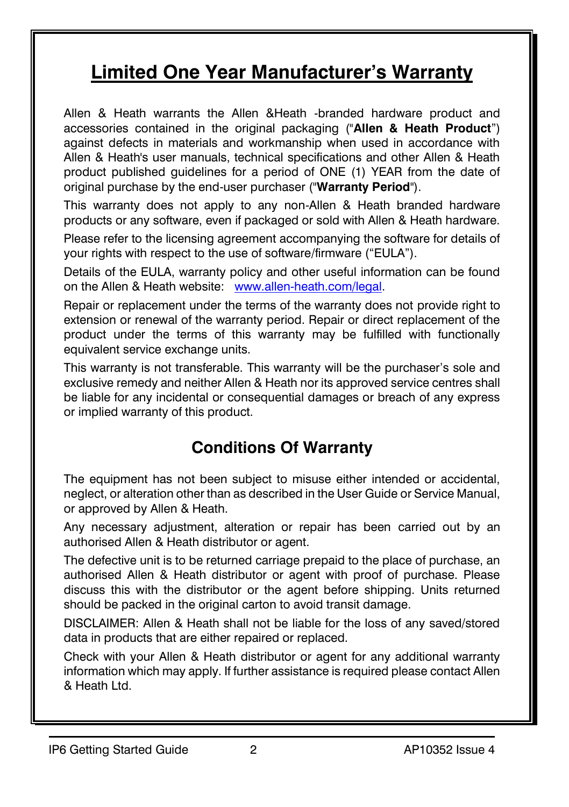### **Limited One Year Manufacturer's Warranty**

Allen & Heath warrants the Allen &Heath -branded hardware product and accessories contained in the original packaging ("**Allen & Heath Product**") against defects in materials and workmanship when used in accordance with Allen & Heath's user manuals, technical specifications and other Allen & Heath product published guidelines for a period of ONE (1) YEAR from the date of original purchase by the end-user purchaser ("**Warranty Period**").

This warranty does not apply to any non-Allen & Heath branded hardware products or any software, even if packaged or sold with Allen & Heath hardware.

Please refer to the licensing agreement accompanying the software for details of your rights with respect to the use of software/firmware ("EULA").

Details of the EULA, warranty policy and other useful information can be found on the Allen & Heath website: [www.allen-heath.com/legal.](http://www.allen-heath.com/legal)

Repair or replacement under the terms of the warranty does not provide right to extension or renewal of the warranty period. Repair or direct replacement of the product under the terms of this warranty may be fulfilled with functionally equivalent service exchange units.

This warranty is not transferable. This warranty will be the purchaser's sole and exclusive remedy and neither Allen & Heath nor its approved service centres shall be liable for any incidental or consequential damages or breach of any express or implied warranty of this product.

### **Conditions Of Warranty**

The equipment has not been subject to misuse either intended or accidental, neglect, or alteration other than as described in the User Guide or Service Manual, or approved by Allen & Heath.

Any necessary adjustment, alteration or repair has been carried out by an authorised Allen & Heath distributor or agent.

The defective unit is to be returned carriage prepaid to the place of purchase, an authorised Allen & Heath distributor or agent with proof of purchase. Please discuss this with the distributor or the agent before shipping. Units returned should be packed in the original carton to avoid transit damage.

DISCLAIMER: Allen & Heath shall not be liable for the loss of any saved/stored data in products that are either repaired or replaced.

Check with your Allen & Heath distributor or agent for any additional warranty information which may apply. If further assistance is required please contact Allen & Heath Ltd.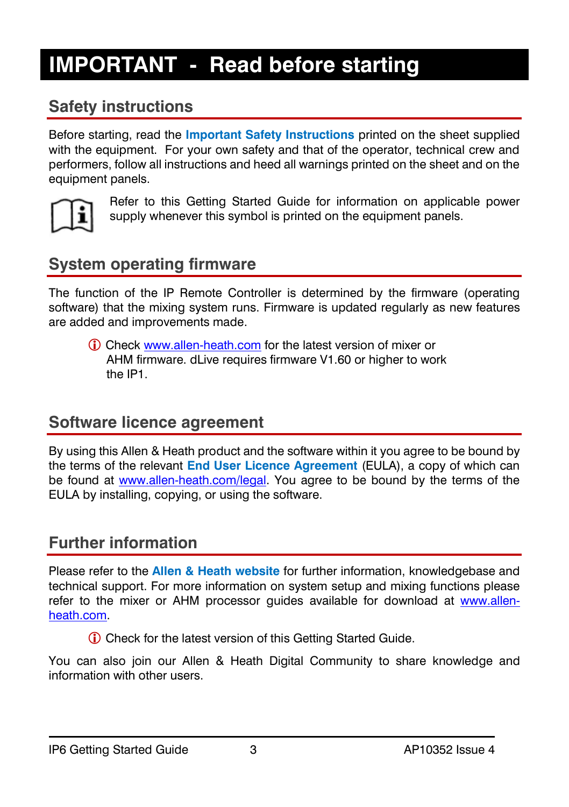### <span id="page-2-0"></span>**IMPORTANT - Read before starting**

### **Safety instructions**

Before starting, read the **Important Safety Instructions** printed on the sheet supplied with the equipment. For your own safety and that of the operator, technical crew and performers, follow all instructions and heed all warnings printed on the sheet and on the equipment panels.



Refer to this Getting Started Guide for information on applicable power supply whenever this symbol is printed on the equipment panels.

### **System operating firmware**

The function of the IP Remote Controller is determined by the firmware (operating software) that the mixing system runs. Firmware is updated regularly as new features are added and improvements made.

 Check [www.allen-heath.com](http://www.allen-heath.com/) for the latest version of mixer or AHM firmware. dLive requires firmware V1.60 or higher to work the IP1.

#### **Software licence agreement**

By using this Allen & Heath product and the software within it you agree to be bound by the terms of the relevant **End User Licence Agreement** (EULA), a copy of which can be found at [www.allen-heath.com/legal.](http://www.allen-heath.com/legal) You agree to be bound by the terms of the EULA by installing, copying, or using the software.

### **Further information**

Please refer to the **Allen & Heath website** for further information, knowledgebase and technical support. For more information on system setup and mixing functions please refer to the mixer or AHM processor guides available for download at [www.allen](http://www.allen-heath.com/)[heath.com.](http://www.allen-heath.com/)

Check for the latest version of this Getting Started Guide.

You can also join our Allen & Heath Digital Community to share knowledge and information with other users.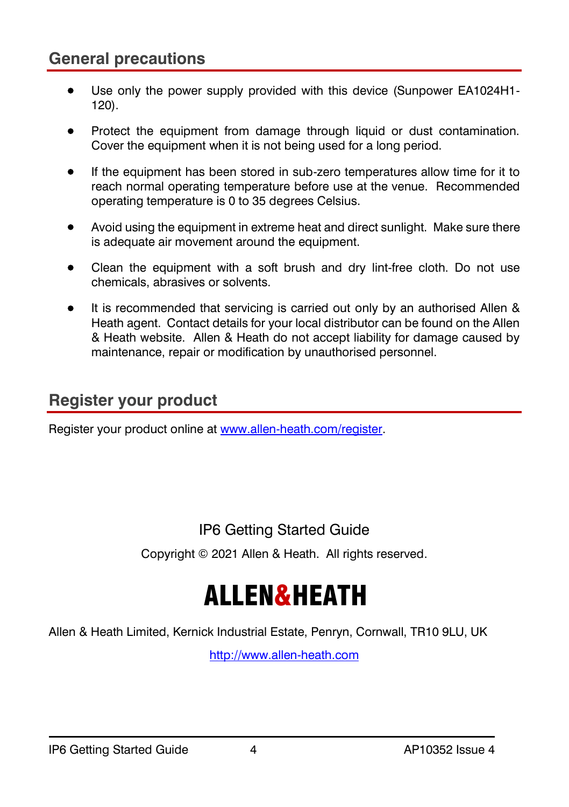#### **General precautions**

- Use only the power supply provided with this device (Sunpower EA1024H1-120).
- Protect the equipment from damage through liquid or dust contamination. Cover the equipment when it is not being used for a long period.
- If the equipment has been stored in sub-zero temperatures allow time for it to reach normal operating temperature before use at the venue. Recommended operating temperature is 0 to 35 degrees Celsius.
- Avoid using the equipment in extreme heat and direct sunlight. Make sure there is adequate air movement around the equipment.
- Clean the equipment with a soft brush and dry lint-free cloth. Do not use chemicals, abrasives or solvents.
- It is recommended that servicing is carried out only by an authorised Allen & Heath agent. Contact details for your local distributor can be found on the Allen & Heath website. Allen & Heath do not accept liability for damage caused by maintenance, repair or modification by unauthorised personnel.

#### **Register your product**

Register your product online a[t www.allen-heath.com/register.](http://www.allen-heath.com/register)

#### IP6 Getting Started Guide

Copyright © 2021 Allen & Heath. All rights reserved.

## ALLEN&HEATH

Allen & Heath Limited, Kernick Industrial Estate, Penryn, Cornwall, TR10 9LU, UK

[http://www.allen-heath.com](http://www.allen-heath.com/)

#### IP6 Getting Started Guide 4 AP10352 Issue 4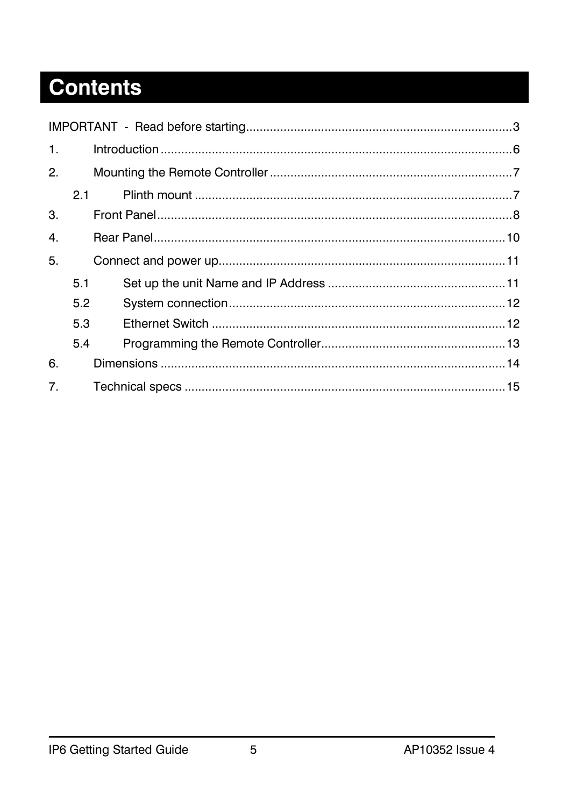### **Contents**

<span id="page-4-0"></span>

| 1.             |     |  |
|----------------|-----|--|
| 2.             |     |  |
|                | 2.1 |  |
| 3.             |     |  |
| 4.             |     |  |
| 5.             |     |  |
| 5.1            |     |  |
| 5.2            |     |  |
| 5.3            |     |  |
| 5.4            |     |  |
| 6.             |     |  |
| 7 <sub>1</sub> |     |  |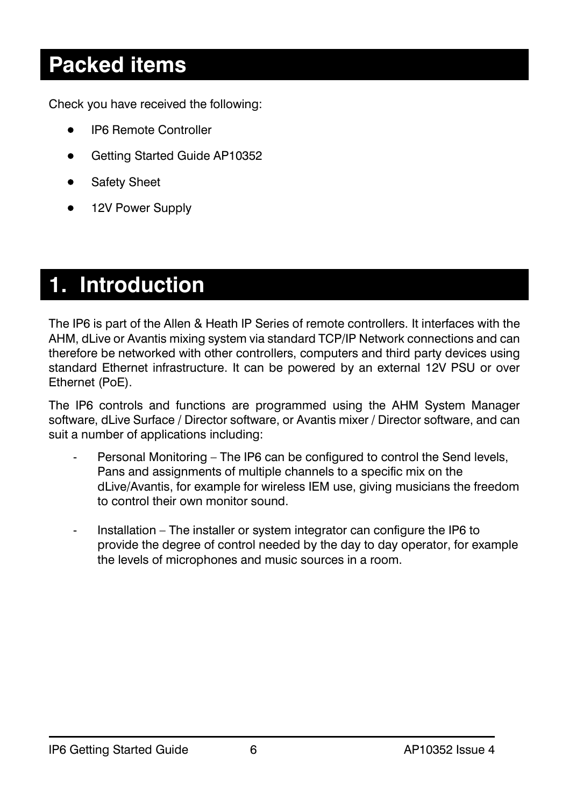### **Packed items**

Check you have received the following:

- IP6 Remote Controller
- Getting Started Guide AP10352
- Safety Sheet
- 12V Power Supply

### **1. Introduction**

The IP6 is part of the Allen & Heath IP Series of remote controllers. It interfaces with the AHM, dLive or Avantis mixing system via standard TCP/IP Network connections and can therefore be networked with other controllers, computers and third party devices using standard Ethernet infrastructure. It can be powered by an external 12V PSU or over Ethernet (PoE).

The IP6 controls and functions are programmed using the AHM System Manager software, dLive Surface / Director software, or Avantis mixer / Director software, and can suit a number of applications including:

- Personal Monitoring The IP6 can be configured to control the Send levels, Pans and assignments of multiple channels to a specific mix on the dLive/Avantis, for example for wireless IEM use, giving musicians the freedom to control their own monitor sound.
- Installation The installer or system integrator can configure the IP6 to provide the degree of control needed by the day to day operator, for example the levels of microphones and music sources in a room.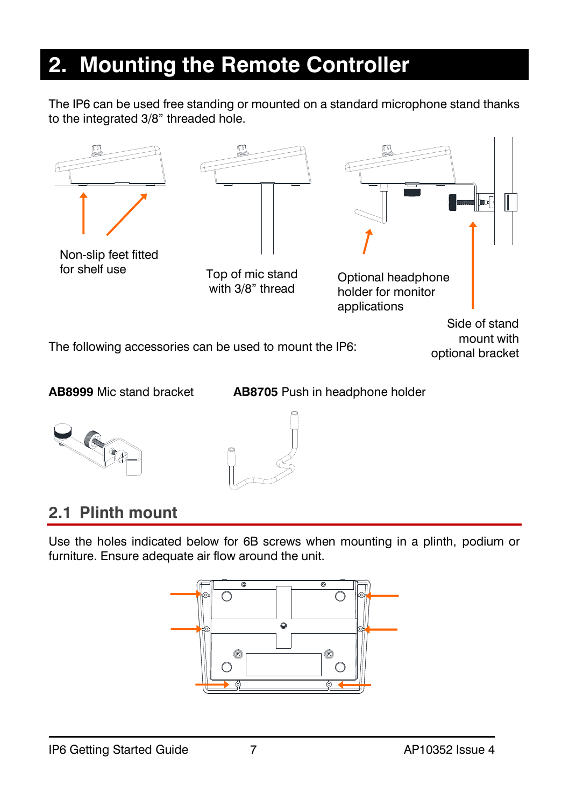### <span id="page-6-0"></span>**2. Mounting the Remote Controller**

The IP6 can be used free standing or mounted on a standard microphone stand thanks to the integrated 3/8" threaded hole.



**AB8999** Mic stand bracket **AB8705** Push in headphone holder





### <span id="page-6-1"></span>**2.1 Plinth mount**

Use the holes indicated below for 6B screws when mounting in a plinth, podium or furniture. Ensure adequate air flow around the unit.

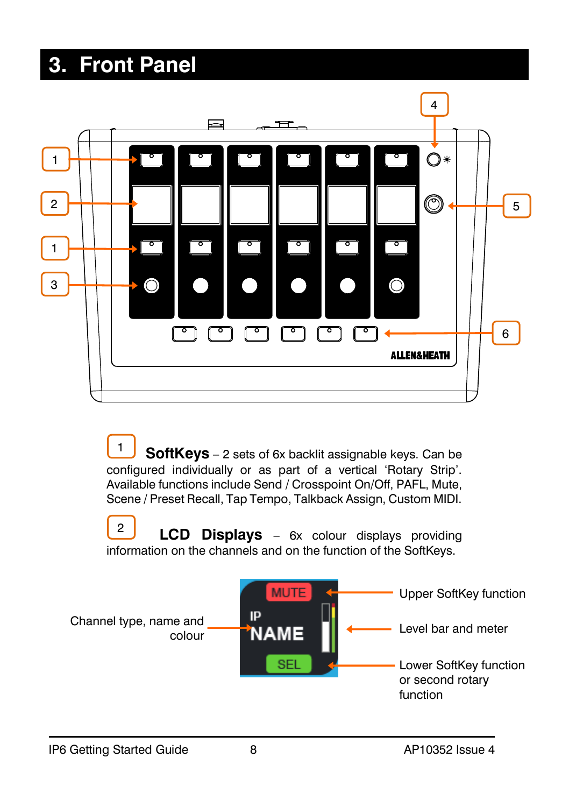### <span id="page-7-0"></span>**3. Front Panel**



 **SoftKeys** – 2 sets of 6x backlit assignable keys. Can be configured individually or as part of a vertical 'Rotary Strip'. Available functions include Send / Crosspoint On/Off, PAFL, Mute, Scene / Preset Recall, Tap Tempo, Talkback Assign, Custom MIDI. 1

 **LCD Displays** – 6x colour displays providing information on the channels and on the function of the SoftKeys. 2

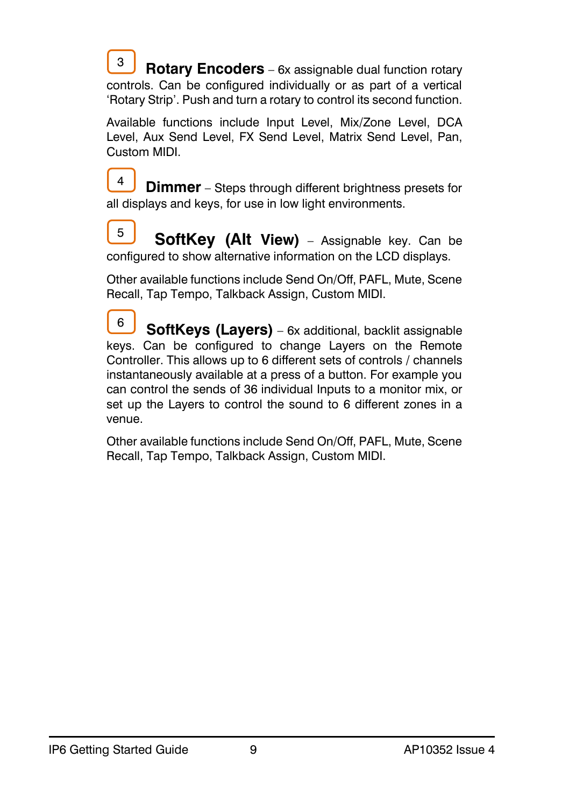**Rotary Encoders** – 6x assignable dual function rotary controls. Can be configured individually or as part of a vertical 'Rotary Strip'. Push and turn a rotary to control its second function. 3

Available functions include Input Level, Mix/Zone Level, DCA Level, Aux Send Level, FX Send Level, Matrix Send Level, Pan, Custom MIDI.

**Dimmer** – Steps through different brightness presets for all displays and keys, for use in low light environments. 4

 **SoftKey (Alt View)** – Assignable key. Can be configured to show alternative information on the LCD displays. 5

Other available functions include Send On/Off, PAFL, Mute, Scene Recall, Tap Tempo, Talkback Assign, Custom MIDI.

 **SoftKeys (Layers)** – 6x additional, backlit assignable keys. Can be configured to change Layers on the Remote Controller. This allows up to 6 different sets of controls / channels instantaneously available at a press of a button. For example you can control the sends of 36 individual Inputs to a monitor mix, or set up the Layers to control the sound to 6 different zones in a venue. 6

<span id="page-8-0"></span>Other available functions include Send On/Off, PAFL, Mute, Scene Recall, Tap Tempo, Talkback Assign, Custom MIDI.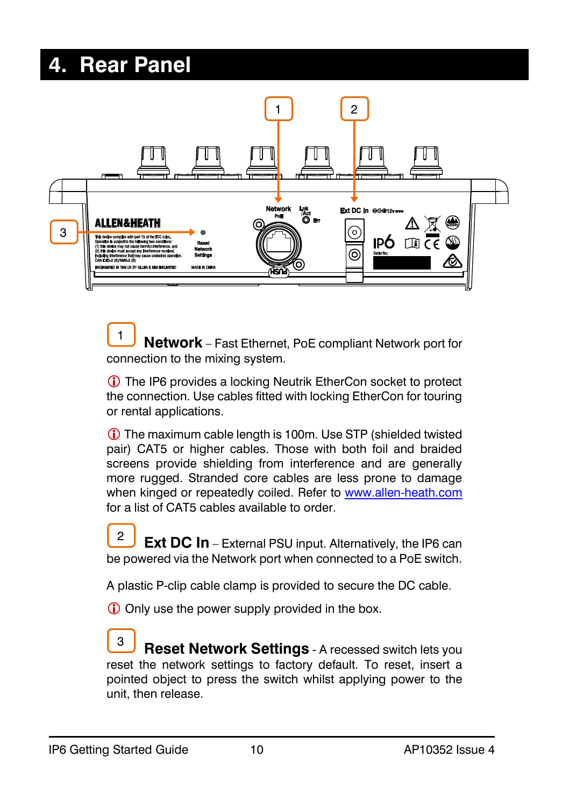### **4. Rear Panel**



 **Network** – Fast Ethernet, PoE compliant Network port for connection to the mixing system. 1

 The IP6 provides a locking Neutrik EtherCon socket to protect the connection. Use cables fitted with locking EtherCon for touring or rental applications.

 The maximum cable length is 100m. Use STP (shielded twisted pair) CAT5 or higher cables. Those with both foil and braided screens provide shielding from interference and are generally more rugged. Stranded core cables are less prone to damage when kinged or repeatedly coiled. Refer to [www.allen-heath.com](http://www.allen-heath.com/) for a list of CAT5 cables available to order.

**Ext DC In** – External PSU input. Alternatively, the IP6 can be powered via the Network port when connected to a PoE switch.  $\mathfrak{p}$ 

A plastic P-clip cable clamp is provided to secure the DC cable.

Only use the power supply provided in the box.

**Reset Network Settings** - A recessed switch lets you reset the network settings to factory default. To reset, insert a pointed object to press the switch whilst applying power to the unit, then release. 3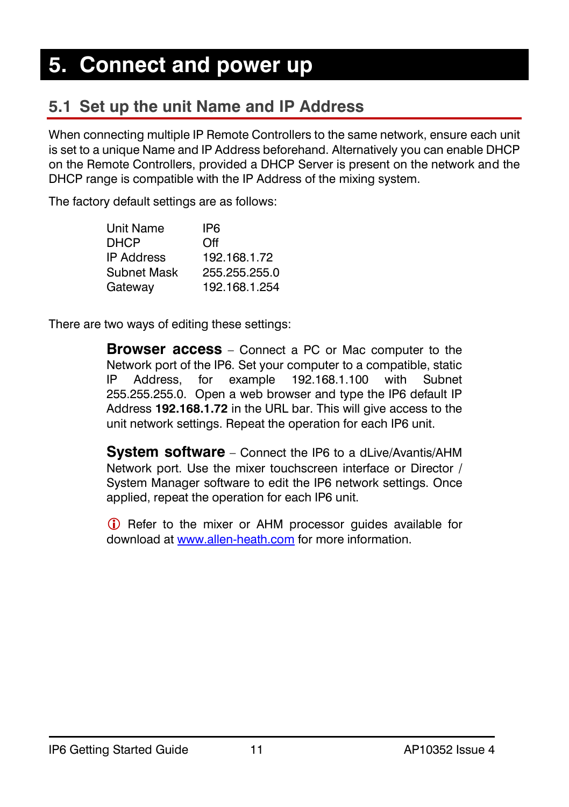### <span id="page-10-1"></span><span id="page-10-0"></span>**5.1 Set up the unit Name and IP Address**

When connecting multiple IP Remote Controllers to the same network, ensure each unit is set to a unique Name and IP Address beforehand. Alternatively you can enable DHCP on the Remote Controllers, provided a DHCP Server is present on the network and the DHCP range is compatible with the IP Address of the mixing system.

The factory default settings are as follows:

| Unit Name   | IP6           |
|-------------|---------------|
| DHCP        | Off           |
| IP Address  | 192.168.1.72  |
| Subnet Mask | 255.255.255.0 |
| Gateway     | 192.168.1.254 |

There are two ways of editing these settings:

**Browser access** – Connect a PC or Mac computer to the Network port of the IP6. Set your computer to a compatible, static IP Address, for example 192.168.1.100 with Subnet 255.255.255.0. Open a web browser and type the IP6 default IP Address **192.168.1.72** in the URL bar. This will give access to the unit network settings. Repeat the operation for each IP6 unit.

**System software** – Connect the IP6 to a dLive/Avantis/AHM Network port. Use the mixer touchscreen interface or Director / System Manager software to edit the IP6 network settings. Once applied, repeat the operation for each IP6 unit.

<span id="page-10-2"></span>**C**) Refer to the mixer or AHM processor quides available for download a[t www.allen-heath.com](http://www.allen-heath.com/) for more information.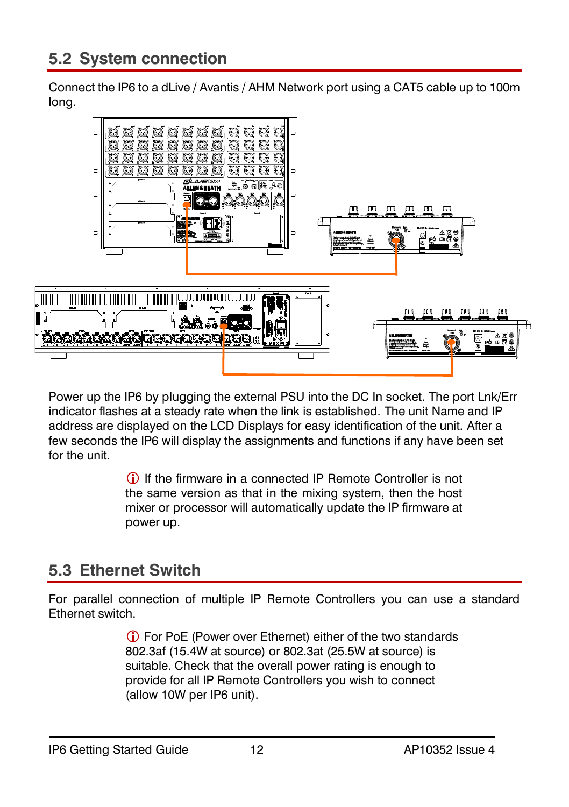Connect the IP6 to a dLive / Avantis / AHM Network port using a CAT5 cable up to 100m long.



Power up the IP6 by plugging the external PSU into the DC In socket. The port Lnk/Err indicator flashes at a steady rate when the link is established. The unit Name and IP address are displayed on the LCD Displays for easy identification of the unit. After a few seconds the IP6 will display the assignments and functions if any have been set for the unit.

> If the firmware in a connected IP Remote Controller is not the same version as that in the mixing system, then the host mixer or processor will automatically update the IP firmware at power up.

### <span id="page-11-0"></span>**5.3 Ethernet Switch**

For parallel connection of multiple IP Remote Controllers you can use a standard Ethernet switch.

> For PoE (Power over Ethernet) either of the two standards 802.3af (15.4W at source) or 802.3at (25.5W at source) is suitable. Check that the overall power rating is enough to provide for all IP Remote Controllers you wish to connect (allow 10W per IP6 unit).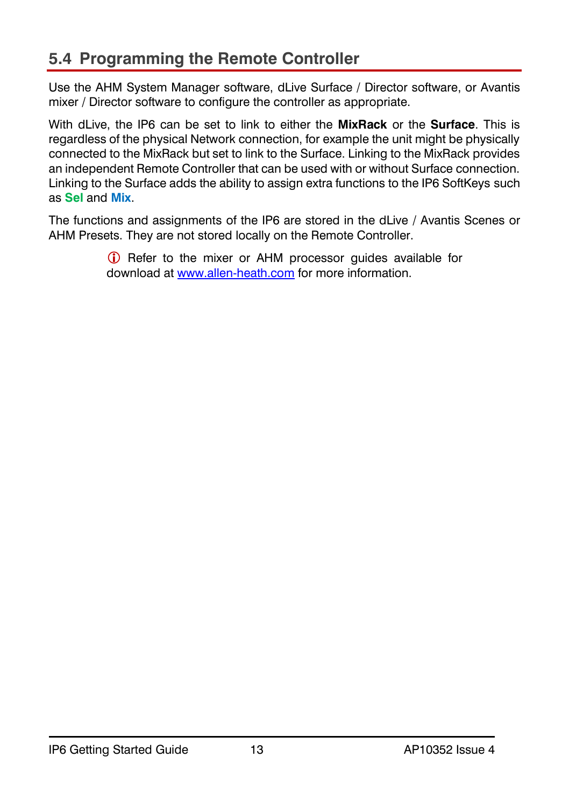### <span id="page-12-0"></span>**5.4 Programming the Remote Controller**

Use the AHM System Manager software, dLive Surface / Director software, or Avantis mixer / Director software to configure the controller as appropriate.

With dLive, the IP6 can be set to link to either the **MixRack** or the **Surface**. This is regardless of the physical Network connection, for example the unit might be physically connected to the MixRack but set to link to the Surface. Linking to the MixRack provides an independent Remote Controller that can be used with or without Surface connection. Linking to the Surface adds the ability to assign extra functions to the IP6 SoftKeys such as **Sel** and **Mix**.

The functions and assignments of the IP6 are stored in the dLive / Avantis Scenes or AHM Presets. They are not stored locally on the Remote Controller.

> **C** Refer to the mixer or AHM processor guides available for download a[t www.allen-heath.com](http://www.allen-heath.com/) for more information.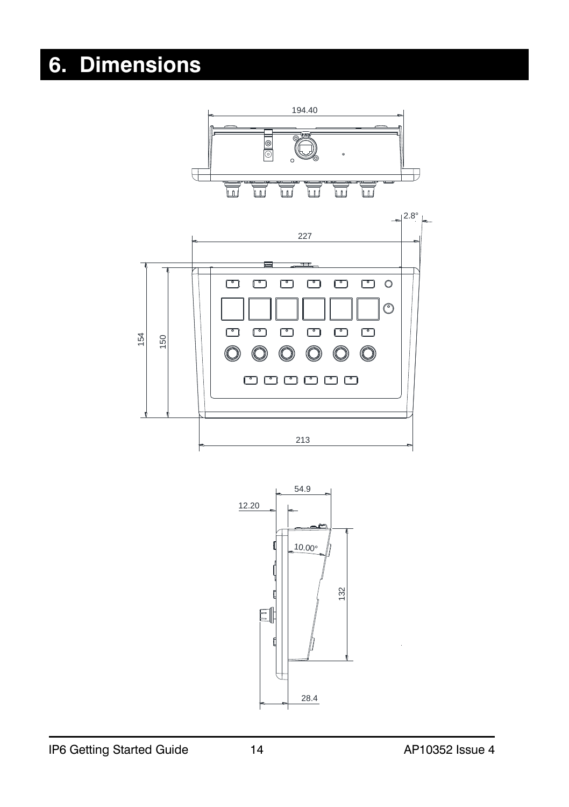### <span id="page-13-0"></span>**6. Dimensions**

<span id="page-13-1"></span>